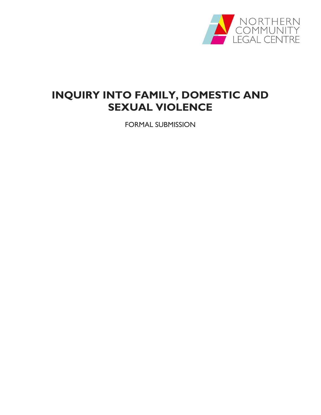

# INQUIRY INTO FAMILY, DOMESTIC AND SEXUAL VIOLENCE

FORMAL SUBMISSION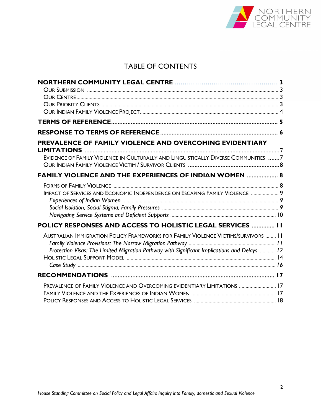

# TABLE OF CONTENTS

| PREVALENCE OF FAMILY VIOLENCE AND OVERCOMING EVIDENTIARY                                     |  |
|----------------------------------------------------------------------------------------------|--|
|                                                                                              |  |
| EVIDENCE OF FAMILY VIOLENCE IN CULTURALLY AND LINGUISTICALLY DIVERSE COMMUNITIES 7           |  |
| <b>FAMILY VIOLENCE AND THE EXPERIENCES OF INDIAN WOMEN  8</b>                                |  |
|                                                                                              |  |
| <b>IMPACT OF SERVICES AND ECONOMIC INDEPENDENCE ON ESCAPING FAMILY VIOLENCE  9</b>           |  |
|                                                                                              |  |
|                                                                                              |  |
| <b>POLICY RESPONSES AND ACCESS TO HOLISTIC LEGAL SERVICES  11</b>                            |  |
| AUSTRALIAN IMMIGRATION POLICY FRAMEWORKS FOR FAMILY VIOLENCE VICTIMS/SURVIVORS  11           |  |
|                                                                                              |  |
| Protection Visas: The Limited Migration Pathway with Significant Implications and Delays  12 |  |
|                                                                                              |  |
|                                                                                              |  |
| PREVALENCE OF FAMILY VIOLENCE AND OVERCOMING EVIDENTIARY LIMITATIONS  17                     |  |
|                                                                                              |  |
|                                                                                              |  |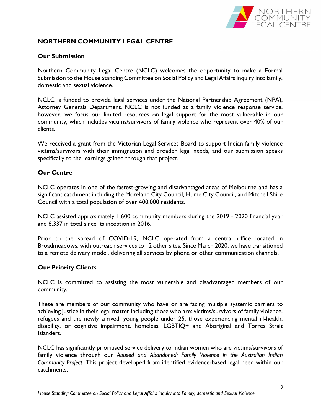

# NORTHERN COMMUNITY LEGAL CENTRE

# Our Submission

Northern Community Legal Centre (NCLC) welcomes the opportunity to make a Formal Submission to the House Standing Committee on Social Policy and Legal Affairs inquiry into family, domestic and sexual violence.

NCLC is funded to provide legal services under the National Partnership Agreement (NPA), Attorney Generals Department. NCLC is not funded as a family violence response service, however, we focus our limited resources on legal support for the most vulnerable in our community, which includes victims/survivors of family violence who represent over 40% of our clients.

We received a grant from the Victorian Legal Services Board to support Indian family violence victims/survivors with their immigration and broader legal needs, and our submission speaks specifically to the learnings gained through that project.

# Our Centre

NCLC operates in one of the fastest-growing and disadvantaged areas of Melbourne and has a significant catchment including the Moreland City Council, Hume City Council, and Mitchell Shire Council with a total population of over 400,000 residents.

NCLC assisted approximately 1,600 community members during the 2019 - 2020 financial year and 8,337 in total since its inception in 2016.

Prior to the spread of COVID-19, NCLC operated from a central office located in Broadmeadows, with outreach services to 12 other sites. Since March 2020, we have transitioned to a remote delivery model, delivering all services by phone or other communication channels.

#### Our Priority Clients

NCLC is committed to assisting the most vulnerable and disadvantaged members of our community.

These are members of our community who have or are facing multiple systemic barriers to achieving justice in their legal matter including those who are: victims/survivors of family violence, refugees and the newly arrived, young people under 25, those experiencing mental ill-health, disability, or cognitive impairment, homeless, LGBTIQ+ and Aboriginal and Torres Strait Islanders.

NCLC has significantly prioritised service delivery to Indian women who are victims/survivors of family violence through our Abused and Abandoned: Family Violence in the Australian Indian Community Project. This project developed from identified evidence-based legal need within our catchments.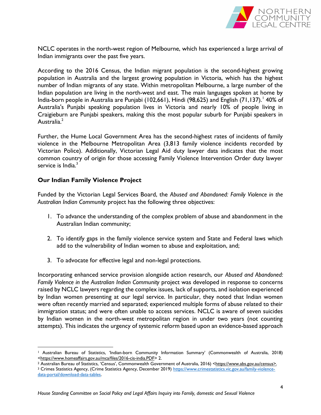

NCLC operates in the north-west region of Melbourne, which has experienced a large arrival of Indian immigrants over the past five years.

According to the 2016 Census, the Indian migrant population is the second-highest growing population in Australia and the largest growing population in Victoria, which has the highest number of Indian migrants of any state. Within metropolitan Melbourne, a large number of the Indian population are living in the north-west and east. The main languages spoken at home by India-born people in Australia are Punjabi (102,661), Hindi (98,625) and English (71,137). 40% of Australia's Punjabi speaking population lives in Victoria and nearly 10% of people living in Craigieburn are Punjabi speakers, making this the most popular suburb for Punjabi speakers in Australia.<sup>2</sup>

Further, the Hume Local Government Area has the second-highest rates of incidents of family violence in the Melbourne Metropolitan Area (3,813 family violence incidents recorded by Victorian Police). Additionally, Victorian Legal Aid duty lawyer data indicates that the most common country of origin for those accessing Family Violence Intervention Order duty lawyer service is India.<sup>3</sup>

# Our Indian Family Violence Project

 $\overline{a}$ 

Funded by the Victorian Legal Services Board, the Abused and Abandoned: Family Violence in the Australian Indian Community project has the following three objectives:

- 1. To advance the understanding of the complex problem of abuse and abandonment in the Australian Indian community;
- 2. To identify gaps in the family violence service system and State and Federal laws which add to the vulnerability of Indian women to abuse and exploitation, and;
- 3. To advocate for effective legal and non-legal protections.

Incorporating enhanced service provision alongside action research, our Abused and Abandoned: Family Violence in the Australian Indian Community project was developed in response to concerns raised by NCLC lawyers regarding the complex issues, lack of supports, and isolation experienced by Indian women presenting at our legal service. In particular, they noted that Indian women were often recently married and separated; experienced multiple forms of abuse related to their immigration status; and were often unable to access services. NCLC is aware of seven suicides by Indian women in the north-west metropolitan region in under two years (not counting attempts). This indicates the urgency of systemic reform based upon an evidence-based approach

<sup>1</sup> Australian Bureau of Statistics, 'Indian-born Community Information Summary' (Commonwealth of Australia, 2018) <https://www.homeaffairs.gov.au/mca/files/2016-cis-india.PDF> 2.

<sup>&</sup>lt;sup>2</sup> Australian Bureau of Statistics, 'Census', Commonwealth Government of Australia, 2016) <https://www.abs.gov.au/census>.

<sup>&</sup>lt;sup>3</sup> Crimes Statistics Agency, (Crime Statistics Agency, December 2019) https://www.crimestatistics.vic.gov.au/family-violencedata-portal/download-data-tables.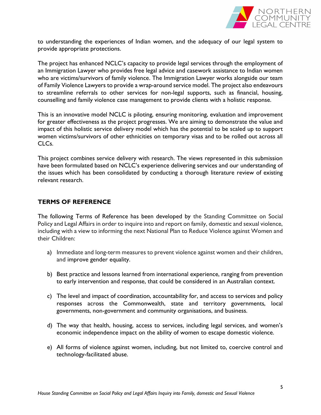

to understanding the experiences of Indian women, and the adequacy of our legal system to provide appropriate protections.

The project has enhanced NCLC's capacity to provide legal services through the employment of an Immigration Lawyer who provides free legal advice and casework assistance to Indian women who are victims/survivors of family violence. The Immigration Lawyer works alongside our team of Family Violence Lawyers to provide a wrap-around service model. The project also endeavours to streamline referrals to other services for non-legal supports, such as financial, housing, counselling and family violence case management to provide clients with a holistic response.

This is an innovative model NCLC is piloting, ensuring monitoring, evaluation and improvement for greater effectiveness as the project progresses. We are aiming to demonstrate the value and impact of this holistic service delivery model which has the potential to be scaled up to support women victims/survivors of other ethnicities on temporary visas and to be rolled out across all CLCs.

This project combines service delivery with research. The views represented in this submission have been formulated based on NCLC's experience delivering services and our understanding of the issues which has been consolidated by conducting a thorough literature review of existing relevant research.

# TERMS OF REFERENCE

The following Terms of Reference has been developed by the Standing Committee on Social Policy and Legal Affairs in order to inquire into and report on family, domestic and sexual violence, including with a view to informing the next National Plan to Reduce Violence against Women and their Children:

- a) Immediate and long-term measures to prevent violence against women and their children, and improve gender equality.
- b) Best practice and lessons learned from international experience, ranging from prevention to early intervention and response, that could be considered in an Australian context.
- c) The level and impact of coordination, accountability for, and access to services and policy responses across the Commonwealth, state and territory governments, local governments, non-government and community organisations, and business.
- d) The way that health, housing, access to services, including legal services, and women's economic independence impact on the ability of women to escape domestic violence.
- e) All forms of violence against women, including, but not limited to, coercive control and technology-facilitated abuse.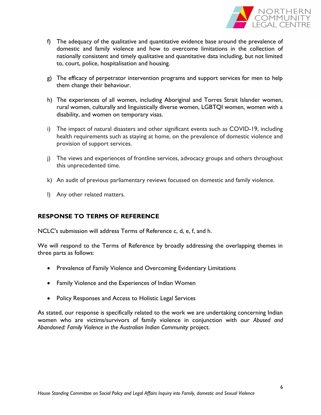

- f) The adequacy of the qualitative and quantitative evidence base around the prevalence of domestic and family violence and how to overcome limitations in the collection of nationally consistent and timely qualitative and quantitative data including, but not limited to, court, police, hospitalisation and housing.
- g) The efficacy of perpetrator intervention programs and support services for men to help them change their behaviour.
- h) The experiences of all women, including Aboriginal and Torres Strait Islander women, rural women, culturally and linguistically diverse women, LGBTQI women, women with a disability, and women on temporary visas.
- i) The impact of natural disasters and other significant events such as COVID-19, including health requirements such as staying at home, on the prevalence of domestic violence and provision of support services.
- j) The views and experiences of frontline services, advocacy groups and others throughout this unprecedented time.
- k) An audit of previous parliamentary reviews focussed on domestic and family violence.
- l) Any other related matters.

# RESPONSE TO TERMS OF REFERENCE

NCLC's submission will address Terms of Reference c, d, e, f, and h.

We will respond to the Terms of Reference by broadly addressing the overlapping themes in three parts as follows:

- Prevalence of Family Violence and Overcoming Evidentiary Limitations
- Family Violence and the Experiences of Indian Women
- Policy Responses and Access to Holistic Legal Services

As stated, our response is specifically related to the work we are undertaking concerning Indian women who are victims/survivors of family violence in conjunction with our Abused and Abandoned: Family Violence in the Australian Indian Community project.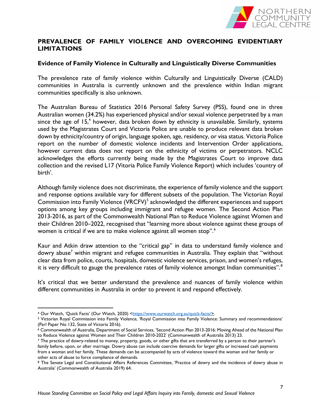

# PREVALENCE OF FAMILY VIOLENCE AND OVERCOMING EVIDENTIARY LIMITATIONS

#### Evidence of Family Violence in Culturally and Linguistically Diverse Communities

The prevalence rate of family violence within Culturally and Linguistically Diverse (CALD) communities in Australia is currently unknown and the prevalence within Indian migrant communities specifically is also unknown.

The Australian Bureau of Statistics 2016 Personal Safety Survey (PSS), found one in three Australian women (34.2%) has experienced physical and/or sexual violence perpetrated by a man since the age of 15,<sup>4</sup> however, data broken down by ethnicity is unavailable. Similarly, systems used by the Magistrates Court and Victoria Police are unable to produce relevant data broken down by ethnicity/country of origin, language spoken, age, residency, or visa status. Victoria Police report on the number of domestic violence incidents and Intervention Order applications, however current data does not report on the ethnicity of victims or perpetrators. NCLC acknowledges the efforts currently being made by the Magistrates Court to improve data collection and the revised L17 (Vitoria Police Family Violence Report) which includes 'country of birth'.

Although family violence does not discriminate, the experience of family violence and the support and response options available vary for different subsets of the population. The Victorian Royal Commission into Family Violence (VRCFV)<sup>5</sup> acknowledged the different experiences and support options among key groups including immigrant and refugee women. The Second Action Plan 2013-2016, as part of the Commonwealth National Plan to Reduce Violence against Women and their Children 2010–2022, recognised that "learning more about violence against these groups of women is critical if we are to make violence against all women stop".<sup>6</sup>

Kaur and Atkin draw attention to the "critical gap" in data to understand family violence and dowry abuse<sup>7</sup> within migrant and refugee communities in Australia. They explain that "without clear data from police, courts, hospitals, domestic violence services, prison, and women's refuges, it is very difficult to gauge the prevalence rates of family violence amongst Indian communities".<sup>8</sup>

It's critical that we better understand the prevalence and nuances of family violence within different communities in Australia in order to prevent it and respond effectively.

<sup>4</sup> Our Watch, 'Quick Facts' (Our Watch, 2020) <https://www.ourwatch.org.au/quick-facts/>.

<sup>5</sup> Victorian Royal Commission into Family Violence, 'Royal Commission into Family Violence: Summary and recommendations' (Parl Paper No 132, State of Victoria 2016).

<sup>6</sup> Commonwealth of Australia, Department of Social Services, 'Second Action Plan 2013-2016: Moving Ahead of the National Plan to Reduce Violence against Women and Their Children 2010-2022' (Commonwealth of Australia 2013) 23.

<sup>7</sup> The practice of dowry-related to money, property, goods, or other gifts that are transferred by a person to their partner's family before, upon, or after marriage. Dowry abuse can include coercive demands for larger gifts or increased cash payments from a woman and her family. These demands can be accompanied by acts of violence toward the woman and her family or other acts of abuse to force compliance of demands.

<sup>8</sup> The Senate Legal and Constitutional Affairs References Committee, 'Practice of dowry and the incidence of dowry abuse in Australia' (Commonwealth of Australia 2019) 64.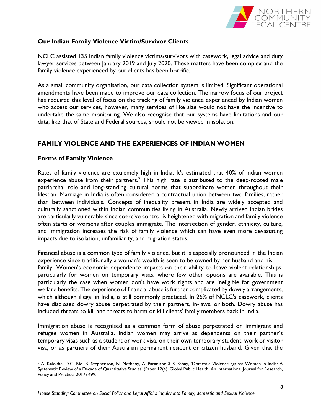

# Our Indian Family Violence Victim/Survivor Clients

NCLC assisted 135 Indian family violence victims/survivors with casework, legal advice and duty lawyer services between January 2019 and July 2020. These matters have been complex and the family violence experienced by our clients has been horrific.

As a small community organisation, our data collection system is limited. Significant operational amendments have been made to improve our data collection. The narrow focus of our project has required this level of focus on the tracking of family violence experienced by Indian women who access our services, however, many services of like size would not have the incentive to undertake the same monitoring. We also recognise that our systems have limitations and our data, like that of State and Federal sources, should not be viewed in isolation.

# FAMILY VIOLENCE AND THE EXPERIENCES OF INDIAN WOMEN

# Forms of Family Violence

Rates of family violence are extremely high in India. It's estimated that 40% of Indian women experience abuse from their partners. $\degree$  This high rate is attributed to the deep-rooted male patriarchal role and long-standing cultural norms that subordinate women throughout their lifespan. Marriage in India is often considered a contractual union between two families, rather than between individuals. Concepts of inequality present in India are widely accepted and culturally sanctioned within Indian communities living in Australia. Newly arrived Indian brides are particularly vulnerable since coercive control is heightened with migration and family violence often starts or worsens after couples immigrate. The intersection of gender, ethnicity, culture, and immigration increases the risk of family violence which can have even more devastating impacts due to isolation, unfamiliarity, and migration status.

Financial abuse is a common type of family violence, but it is especially pronounced in the Indian experience since traditionally a woman's wealth is seen to be owned by her husband and his family. Women's economic dependence impacts on their ability to leave violent relationships, particularly for women on temporary visas, where few other options are available. This is particularly the case when women don't have work rights and are ineligible for government welfare benefits. The experience of financial abuse is further complicated by dowry arrangements, which although illegal in India, is still commonly practiced. In 26% of NCLC's casework, clients have disclosed dowry abuse perpetrated by their partners, in-laws, or both. Dowry abuse has included threats to kill and threats to harm or kill clients' family members back in India.

Immigration abuse is recognised as a common form of abuse perpetrated on immigrant and refugee women in Australia. Indian women may arrive as dependents on their partner's temporary visas such as a student or work visa, on their own temporary student, work or visitor visa, or as partners of their Australian permanent resident or citizen husband. Given that the

 <sup>9</sup> A. Kalokhe, D.C. Rio, R. Stephenson, N. Metheny, A. Paranjape & S. Sahay, 'Domestic Violence against Women in India: A Systematic Review of a Decade of Quantitative Studies' (Paper 12(4), Global Public Health: An International Journal for Research, Policy and Practice, 2017) 499.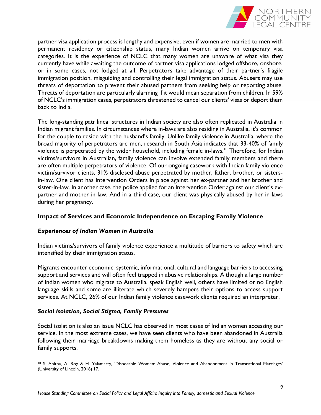

partner visa application process is lengthy and expensive, even if women are married to men with permanent residency or citizenship status, many Indian women arrive on temporary visa categories. It is the experience of NCLC that many women are unaware of what visa they currently have while awaiting the outcome of partner visa applications lodged offshore, onshore, or in some cases, not lodged at all. Perpetrators take advantage of their partner's fragile immigration position, misguiding and controlling their legal immigration status. Abusers may use threats of deportation to prevent their abused partners from seeking help or reporting abuse. Threats of deportation are particularly alarming if it would mean separation from children. In 59% of NCLC's immigration cases, perpetrators threatened to cancel our clients' visas or deport them back to India.

The long-standing patrilineal structures in Indian society are also often replicated in Australia in Indian migrant families. In circumstances where in-laws are also residing in Australia, it's common for the couple to reside with the husband's family. Unlike family violence in Australia, where the broad majority of perpetrators are men, research in South Asia indicates that 33-40% of family violence is perpetrated by the wider household, including female in-laws.<sup>10</sup> Therefore, for Indian victims/survivors in Australian, family violence can involve extended family members and there are often multiple perpetrators of violence. Of our ongoing casework with Indian family violence victim/survivor clients, 31% disclosed abuse perpetrated by mother, father, brother, or sistersin-law. One client has Intervention Orders in place against her ex-partner and her brother and sister-in-law. In another case, the police applied for an Intervention Order against our client's expartner and mother-in-law. And in a third case, our client was physically abused by her in-laws during her pregnancy.

# Impact of Services and Economic Independence on Escaping Family Violence

#### Experiences of Indian Women in Australia

Indian victims/survivors of family violence experience a multitude of barriers to safety which are intensified by their immigration status.

Migrants encounter economic, systemic, informational, cultural and language barriers to accessing support and services and will often feel trapped in abusive relationships. Although a large number of Indian women who migrate to Australia, speak English well, others have limited or no English language skills and some are illiterate which severely hampers their options to access support services. At NCLC, 26% of our Indian family violence casework clients required an interpreter.

#### Social Isolation, Social Stigma, Family Pressures

Social isolation is also an issue NCLC has observed in most cases of Indian women accessing our service. In the most extreme cases, we have seen clients who have been abandoned in Australia following their marriage breakdowns making them homeless as they are without any social or family supports.

 <sup>10</sup> S. Anitha, A. Roy & H. Yalamarty, 'Disposable Women: Abuse, Violence and Abandonment In Transnational Marriages' (University of Lincoln, 2016) 17.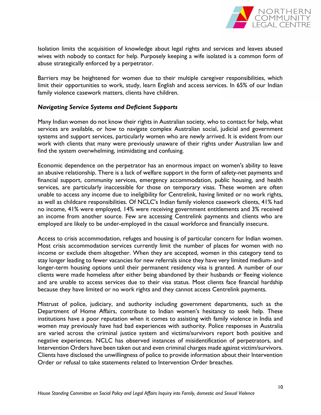

Isolation limits the acquisition of knowledge about legal rights and services and leaves abused wives with nobody to contact for help. Purposely keeping a wife isolated is a common form of abuse strategically enforced by a perpetrator.

Barriers may be heightened for women due to their multiple caregiver responsibilities, which limit their opportunities to work, study, learn English and access services. In 65% of our Indian family violence casework matters, clients have children.

#### Navigating Service Systems and Deficient Supports

Many Indian women do not know their rights in Australian society, who to contact for help, what services are available, or how to navigate complex Australian social, judicial and government systems and support services, particularly women who are newly arrived. It is evident from our work with clients that many were previously unaware of their rights under Australian law and find the system overwhelming, intimidating and confusing.

Economic dependence on the perpetrator has an enormous impact on women's ability to leave an abusive relationship. There is a lack of welfare support in the form of safety-net payments and financial support, community services, emergency accommodation, public housing, and health services, are particularly inaccessible for those on temporary visas. These women are often unable to access any income due to ineligibility for Centrelink, having limited or no work rights, as well as childcare responsibilities. Of NCLC's Indian family violence casework clients, 41% had no income, 41% were employed, 14% were receiving government entitlements and 3% received an income from another source. Few are accessing Centrelink payments and clients who are employed are likely to be under-employed in the casual workforce and financially insecure.

Access to crisis accommodation, refuges and housing is of particular concern for Indian women. Most crisis accommodation services currently limit the number of places for women with no income or exclude them altogether. When they are accepted, women in this category tend to stay longer leading to fewer vacancies for new referrals since they have very limited medium- and longer-term housing options until their permanent residency visa is granted. A number of our clients were made homeless after either being abandoned by their husbands or fleeing violence and are unable to access services due to their visa status. Most clients face financial hardship because they have limited or no work rights and they cannot access Centrelink payments.

Mistrust of police, judiciary, and authority including government departments, such as the Department of Home Affairs, contribute to Indian women's hesitancy to seek help. These institutions have a poor reputation when it comes to assisting with family violence in India and women may previously have had bad experiences with authority. Police responses in Australia are varied across the criminal justice system and victims/survivors report both positive and negative experiences. NCLC has observed instances of misidentification of perpetrators, and Intervention Orders have been taken out and even criminal charges made against victim/survivors. Clients have disclosed the unwillingness of police to provide information about their Intervention Order or refusal to take statements related to Intervention Order breaches.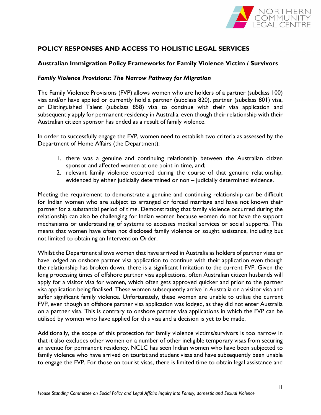

# POLICY RESPONSES AND ACCESS TO HOLISTIC LEGAL SERVICES

#### Australian Immigration Policy Frameworks for Family Violence Victim / Survivors

#### Family Violence Provisions: The Narrow Pathway for Migration

The Family Violence Provisions (FVP) allows women who are holders of a partner (subclass 100) visa and/or have applied or currently hold a partner (subclass 820), partner (subclass 801) visa, or Distinguished Talent (subclass 858) visa to continue with their visa application and subsequently apply for permanent residency in Australia, even though their relationship with their Australian citizen sponsor has ended as a result of family violence.

In order to successfully engage the FVP, women need to establish two criteria as assessed by the Department of Home Affairs (the Department):

- 1. there was a genuine and continuing relationship between the Australian citizen sponsor and affected women at one point in time, and;
- 2. relevant family violence occurred during the course of that genuine relationship, evidenced by either judicially determined or non – judicially determined evidence.

Meeting the requirement to demonstrate a genuine and continuing relationship can be difficult for Indian women who are subject to arranged or forced marriage and have not known their partner for a substantial period of time. Demonstrating that family violence occurred during the relationship can also be challenging for Indian women because women do not have the support mechanisms or understanding of systems to accesses medical services or social supports. This means that women have often not disclosed family violence or sought assistance, including but not limited to obtaining an Intervention Order.

Whilst the Department allows women that have arrived in Australia as holders of partner visas or have lodged an onshore partner visa application to continue with their application even though the relationship has broken down, there is a significant limitation to the current FVP. Given the long processing times of offshore partner visa applications, often Australian citizen husbands will apply for a visitor visa for women, which often gets approved quicker and prior to the partner visa application being finalised. These women subsequently arrive in Australia on a visitor visa and suffer significant family violence. Unfortunately, these women are unable to utilise the current FVP, even though an offshore partner visa application was lodged, as they did not enter Australia on a partner visa. This is contrary to onshore partner visa applications in which the FVP can be utilised by women who have applied for this visa and a decision is yet to be made.

Additionally, the scope of this protection for family violence victims/survivors is too narrow in that it also excludes other women on a number of other ineligible temporary visas from securing an avenue for permanent residency. NCLC has seen Indian women who have been subjected to family violence who have arrived on tourist and student visas and have subsequently been unable to engage the FVP. For those on tourist visas, there is limited time to obtain legal assistance and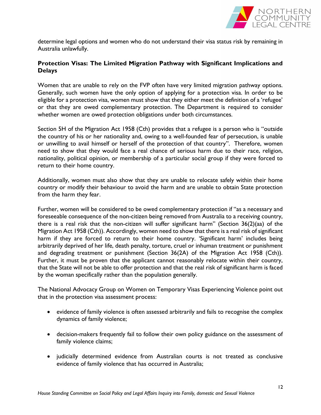

determine legal options and women who do not understand their visa status risk by remaining in Australia unlawfully.

# Protection Visas: The Limited Migration Pathway with Significant Implications and Delays

Women that are unable to rely on the FVP often have very limited migration pathway options. Generally, such women have the only option of applying for a protection visa. In order to be eligible for a protection visa, women must show that they either meet the definition of a 'refugee' or that they are owed complementary protection. The Department is required to consider whether women are owed protection obligations under both circumstances.

Section 5H of the Migration Act 1958 (Cth) provides that a refugee is a person who is "outside the country of his or her nationality and, owing to a well-founded fear of persecution, is unable or unwilling to avail himself or herself of the protection of that country". Therefore, women need to show that they would face a real chance of serious harm due to their race, religion, nationality, political opinion, or membership of a particular social group if they were forced to return to their home country.

Additionally, women must also show that they are unable to relocate safely within their home country or modify their behaviour to avoid the harm and are unable to obtain State protection from the harm they fear.

Further, women will be considered to be owed complementary protection if "as a necessary and foreseeable consequence of the non-citizen being removed from Australia to a receiving country, there is a real risk that the non-citizen will suffer significant harm" (Section 36(2)(aa) of the Migration Act 1958 (Cth)). Accordingly, women need to show that there is a real risk of significant harm if they are forced to return to their home country. 'Significant harm' includes being arbitrarily deprived of her life, death penalty, torture, cruel or inhuman treatment or punishment and degrading treatment or punishment (Section 36(2A) of the Migration Act 1958 (Cth)). Further, it must be proven that the applicant cannot reasonably relocate within their country, that the State will not be able to offer protection and that the real risk of significant harm is faced by the woman specifically rather than the population generally.

The National Advocacy Group on Women on Temporary Visas Experiencing Violence point out that in the protection visa assessment process:

- evidence of family violence is often assessed arbitrarily and fails to recognise the complex dynamics of family violence;
- decision-makers frequently fail to follow their own policy guidance on the assessment of family violence claims;
- judicially determined evidence from Australian courts is not treated as conclusive evidence of family violence that has occurred in Australia;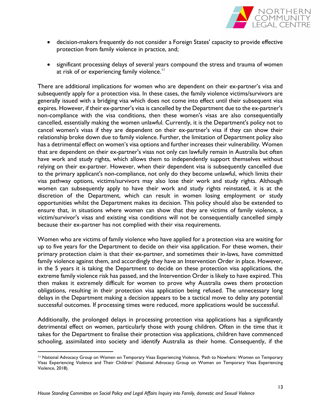

- decision-makers frequently do not consider a Foreign States' capacity to provide effective protection from family violence in practice, and;
- significant processing delays of several years compound the stress and trauma of women at risk of or experiencing family violence.<sup>11</sup>

There are additional implications for women who are dependent on their ex-partner's visa and subsequently apply for a protection visa. In these cases, the family violence victims/survivors are generally issued with a bridging visa which does not come into effect until their subsequent visa expires. However, if their ex-partner's visa is cancelled by the Department due to the ex-partner's non-compliance with the visa conditions, then these women's visas are also consequentially cancelled, essentially making the women unlawful. Currently, it is the Department's policy not to cancel women's visas if they are dependent on their ex-partner's visa if they can show their relationship broke down due to family violence. Further, the limitation of Department policy also has a detrimental effect on women's visa options and further increases their vulnerability. Women that are dependent on their ex-partner's visas not only can lawfully remain in Australia but often have work and study rights, which allows them to independently support themselves without relying on their ex-partner. However, when their dependent visa is subsequently cancelled due to the primary applicant's non-compliance, not only do they become unlawful, which limits their visa pathway options, victims/survivors may also lose their work and study rights. Although women can subsequently apply to have their work and study rights reinstated, it is at the discretion of the Department, which can result in women losing employment or study opportunities whilst the Department makes its decision. This policy should also be extended to ensure that, in situations where women can show that they are victims of family violence, a victim/survivor's visas and existing visa conditions will not be consequentially cancelled simply because their ex-partner has not complied with their visa requirements.

Women who are victims of family violence who have applied for a protection visa are waiting for up to five years for the Department to decide on their visa application. For these women, their primary protection claim is that their ex-partner, and sometimes their in-laws, have committed family violence against them, and accordingly they have an Intervention Order in place. However, in the 5 years it is taking the Department to decide on these protection visa applications, the extreme family violence risk has passed, and the Intervention Order is likely to have expired. This then makes it extremely difficult for women to prove why Australia owes them protection obligations, resulting in their protection visa application being refused. The unnecessary long delays in the Department making a decision appears to be a tactical move to delay any potential successful outcomes. If processing times were reduced, more applications would be successful.

Additionally, the prolonged delays in processing protection visa applications has a significantly detrimental effect on women, particularly those with young children. Often in the time that it takes for the Department to finalise their protection visa applications, children have commenced schooling, assimilated into society and identify Australia as their home. Consequently, if the

 $\overline{a}$ 

<sup>11</sup> National Advocacy Group on Women on Temporary Visas Experiencing Violence, 'Path to Nowhere: Women on Temporary Visas Experiencing Violence and Their Children' (National Advocacy Group on Women on Temporary Visas Experiencing Violence, 2018).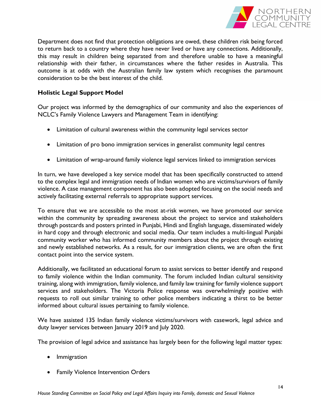

Department does not find that protection obligations are owed, these children risk being forced to return back to a country where they have never lived or have any connections. Additionally, this may result in children being separated from and therefore unable to have a meaningful relationship with their father, in circumstances where the father resides in Australia. This outcome is at odds with the Australian family law system which recognises the paramount consideration to be the best interest of the child.

# Holistic Legal Support Model

Our project was informed by the demographics of our community and also the experiences of NCLC's Family Violence Lawyers and Management Team in identifying:

- Limitation of cultural awareness within the community legal services sector
- Limitation of pro bono immigration services in generalist community legal centres
- Limitation of wrap-around family violence legal services linked to immigration services

In turn, we have developed a key service model that has been specifically constructed to attend to the complex legal and immigration needs of Indian women who are victims/survivors of family violence. A case management component has also been adopted focusing on the social needs and actively facilitating external referrals to appropriate support services.

To ensure that we are accessible to the most at-risk women, we have promoted our service within the community by spreading awareness about the project to service and stakeholders through postcards and posters printed in Punjabi, Hindi and English language, disseminated widely in hard copy and through electronic and social media. Our team includes a multi-lingual Punjabi community worker who has informed community members about the project through existing and newly established networks. As a result, for our immigration clients, we are often the first contact point into the service system.

Additionally, we facilitated an educational forum to assist services to better identify and respond to family violence within the Indian community. The forum included Indian cultural sensitivity training, along with immigration, family violence, and family law training for family violence support services and stakeholders. The Victoria Police response was overwhelmingly positive with requests to roll out similar training to other police members indicating a thirst to be better informed about cultural issues pertaining to family violence.

We have assisted 135 Indian family violence victims/survivors with casework, legal advice and duty lawyer services between January 2019 and July 2020.

The provision of legal advice and assistance has largely been for the following legal matter types:

- Immigration
- Family Violence Intervention Orders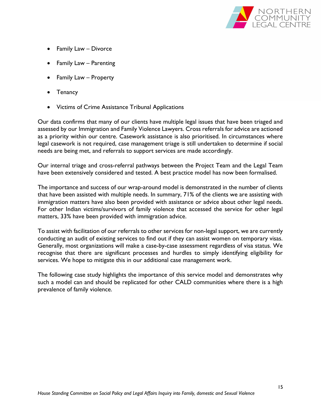

- Family Law Divorce
- Family Law Parenting
- Family Law Property
- Tenancy
- Victims of Crime Assistance Tribunal Applications

Our data confirms that many of our clients have multiple legal issues that have been triaged and assessed by our Immigration and Family Violence Lawyers. Cross referrals for advice are actioned as a priority within our centre. Casework assistance is also prioritised. In circumstances where legal casework is not required, case management triage is still undertaken to determine if social needs are being met, and referrals to support services are made accordingly.

Our internal triage and cross-referral pathways between the Project Team and the Legal Team have been extensively considered and tested. A best practice model has now been formalised.

The importance and success of our wrap-around model is demonstrated in the number of clients that have been assisted with multiple needs. In summary, 71% of the clients we are assisting with immigration matters have also been provided with assistance or advice about other legal needs. For other Indian victims/survivors of family violence that accessed the service for other legal matters, 33% have been provided with immigration advice.

To assist with facilitation of our referrals to other services for non-legal support, we are currently conducting an audit of existing services to find out if they can assist women on temporary visas. Generally, most organizations will make a case-by-case assessment regardless of visa status. We recognise that there are significant processes and hurdles to simply identifying eligibility for services. We hope to mitigate this in our additional case management work.

The following case study highlights the importance of this service model and demonstrates why such a model can and should be replicated for other CALD communities where there is a high prevalence of family violence.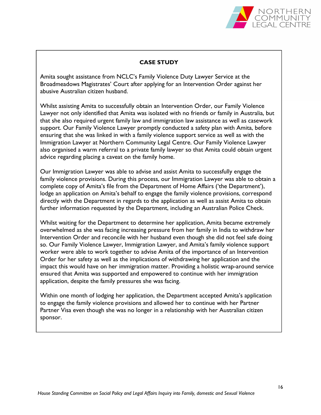

#### CASE STUDY

Amita sought assistance from NCLC's Family Violence Duty Lawyer Service at the Broadmeadows Magistrates' Court after applying for an Intervention Order against her abusive Australian citizen husband.

Whilst assisting Amita to successfully obtain an Intervention Order, our Family Violence Lawyer not only identified that Amita was isolated with no friends or family in Australia, but that she also required urgent family law and immigration law assistance as well as casework support. Our Family Violence Lawyer promptly conducted a safety plan with Amita, before ensuring that she was linked in with a family violence support service as well as with the Immigration Lawyer at Northern Community Legal Centre. Our Family Violence Lawyer also organised a warm referral to a private family lawyer so that Amita could obtain urgent advice regarding placing a caveat on the family home.

Our Immigration Lawyer was able to advise and assist Amita to successfully engage the family violence provisions. During this process, our Immigration Lawyer was able to obtain a complete copy of Amita's file from the Department of Home Affairs ('the Department'), lodge an application on Amita's behalf to engage the family violence provisions, correspond directly with the Department in regards to the application as well as assist Amita to obtain further information requested by the Department, including an Australian Police Check.

Whilst waiting for the Department to determine her application, Amita became extremely overwhelmed as she was facing increasing pressure from her family in India to withdraw her Intervention Order and reconcile with her husband even though she did not feel safe doing so. Our Family Violence Lawyer, Immigration Lawyer, and Amita's family violence support worker were able to work together to advise Amita of the importance of an Intervention Order for her safety as well as the implications of withdrawing her application and the impact this would have on her immigration matter. Providing a holistic wrap-around service ensured that Amita was supported and empowered to continue with her immigration application, despite the family pressures she was facing.

Within one month of lodging her application, the Department accepted Amita's application to engage the family violence provisions and allowed her to continue with her Partner Partner Visa even though she was no longer in a relationship with her Australian citizen sponsor.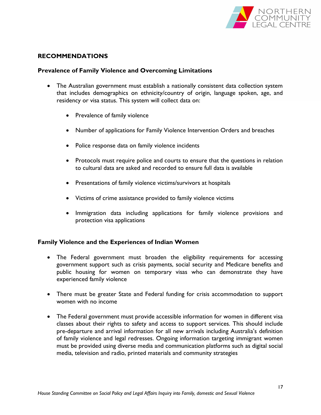

# RECOMMENDATIONS

#### Prevalence of Family Violence and Overcoming Limitations

- The Australian government must establish a nationally consistent data collection system that includes demographics on ethnicity/country of origin, language spoken, age, and residency or visa status. This system will collect data on:
	- Prevalence of family violence
	- Number of applications for Family Violence Intervention Orders and breaches
	- Police response data on family violence incidents
	- Protocols must require police and courts to ensure that the questions in relation to cultural data are asked and recorded to ensure full data is available
	- Presentations of family violence victims/survivors at hospitals
	- Victims of crime assistance provided to family violence victims
	- Immigration data including applications for family violence provisions and protection visa applications

#### Family Violence and the Experiences of Indian Women

- The Federal government must broaden the eligibility requirements for accessing government support such as crisis payments, social security and Medicare benefits and public housing for women on temporary visas who can demonstrate they have experienced family violence
- There must be greater State and Federal funding for crisis accommodation to support women with no income
- The Federal government must provide accessible information for women in different visa classes about their rights to safety and access to support services. This should include pre-departure and arrival information for all new arrivals including Australia's definition of family violence and legal redresses. Ongoing information targeting immigrant women must be provided using diverse media and communication platforms such as digital social media, television and radio, printed materials and community strategies